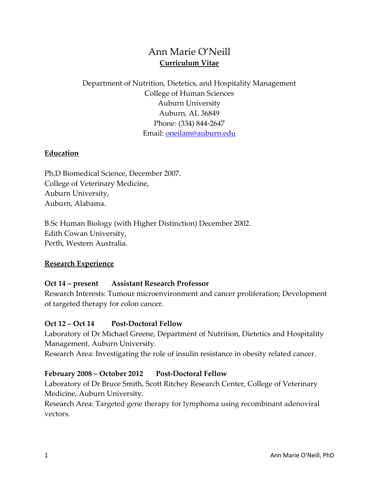# Ann Marie O'Neill **Curriculum Vitae**

# Department of Nutrition, Dietetics, and Hospitality Management College of Human Sciences Auburn University Auburn, AL 36849 Phone: (334) 844-2647 Email: [oneilam@auburn.edu](mailto:oneilam@auburn.edu)

#### **Education**

Ph.D Biomedical Science, December 2007. College of Veterinary Medicine, Auburn University, Auburn, Alabama.

B.Sc Human Biology (with Higher Distinction) December 2002. Edith Cowan University, Perth, Western Australia.

#### **Research Experience**

#### **Oct 14 – present Assistant Research Professor**

Research Interests: Tumour microenvironment and cancer proliferation; Development of targeted therapy for colon cancer.

#### **Oct 12 – Oct 14 Post-Doctoral Fellow**

Laboratory of Dr Michael Greene, Department of Nutrition, Dietetics and Hospitality Management, Auburn University.

Research Area: Investigating the role of insulin resistance in obesity related cancer.

#### **February 2008 – October 2012 Post-Doctoral Fellow**

Laboratory of Dr Bruce Smith, Scott Ritchey Research Center, College of Veterinary Medicine, Auburn University.

Research Area: Targeted gene therapy for lymphoma using recombinant adenoviral vectors.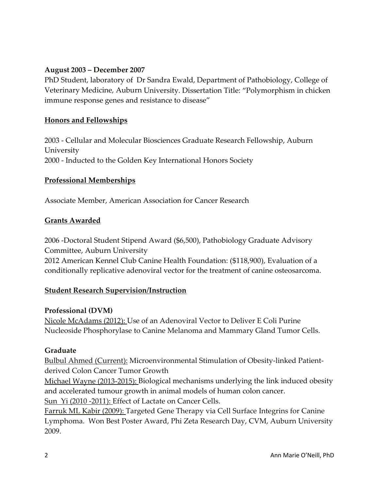### **August 2003 – December 2007**

PhD Student, laboratory of Dr Sandra Ewald, Department of Pathobiology, College of Veterinary Medicine, Auburn University. Dissertation Title: "Polymorphism in chicken immune response genes and resistance to disease"

#### **Honors and Fellowships**

2003 - Cellular and Molecular Biosciences Graduate Research Fellowship, Auburn University 2000 - Inducted to the Golden Key International Honors Society

#### **Professional Memberships**

Associate Member, American Association for Cancer Research

#### **Grants Awarded**

2006 -Doctoral Student Stipend Award (\$6,500), Pathobiology Graduate Advisory Committee, Auburn University

2012 American Kennel Club Canine Health Foundation: (\$118,900), Evaluation of a conditionally replicative adenoviral vector for the treatment of canine osteosarcoma.

#### **Student Research Supervision/Instruction**

#### **Professional (DVM)**

Nicole McAdams (2012): Use of an Adenoviral Vector to Deliver E Coli Purine Nucleoside Phosphorylase to Canine Melanoma and Mammary Gland Tumor Cells.

#### **Graduate**

Bulbul Ahmed (Current): Microenvironmental Stimulation of Obesity-linked Patientderived Colon Cancer Tumor Growth

Michael Wayne (2013-2015): Biological mechanisms underlying the link induced obesity and accelerated tumour growth in animal models of human colon cancer.

Sun Yi (2010 -2011): Effect of Lactate on Cancer Cells.

Farruk ML Kabir (2009): Targeted Gene Therapy via Cell Surface Integrins for Canine Lymphoma. Won Best Poster Award, Phi Zeta Research Day, CVM, Auburn University 2009.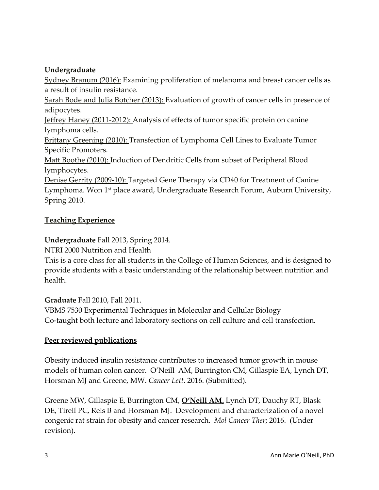# **Undergraduate**

Sydney Branum (2016): Examining proliferation of melanoma and breast cancer cells as a result of insulin resistance.

Sarah Bode and Julia Botcher (2013): Evaluation of growth of cancer cells in presence of adipocytes.

Jeffrey Haney (2011-2012): Analysis of effects of tumor specific protein on canine lymphoma cells.

Brittany Greening (2010): Transfection of Lymphoma Cell Lines to Evaluate Tumor Specific Promoters.

Matt Boothe (2010): Induction of Dendritic Cells from subset of Peripheral Blood lymphocytes.

Denise Gerrity (2009-10): Targeted Gene Therapy via CD40 for Treatment of Canine Lymphoma. Won 1<sup>st</sup> place award, Undergraduate Research Forum, Auburn University, Spring 2010.

# **Teaching Experience**

# **Undergraduate** Fall 2013, Spring 2014.

NTRI 2000 Nutrition and Health

This is a core class for all students in the College of Human Sciences, and is designed to provide students with a basic understanding of the relationship between nutrition and health.

## **Graduate** Fall 2010, Fall 2011.

VBMS 7530 Experimental Techniques in Molecular and Cellular Biology Co-taught both lecture and laboratory sections on cell culture and cell transfection.

# **Peer reviewed publications**

Obesity induced insulin resistance contributes to increased tumor growth in mouse models of human colon cancer. O'Neill AM, Burrington CM, Gillaspie EA, Lynch DT, Horsman MJ and Greene, MW. *Cancer Lett*. 2016. (Submitted).

Greene MW, Gillaspie E, Burrington CM, **O'Neill AM,** Lynch DT, Dauchy RT, Blask DE, Tirell PC, Reis B and Horsman MJ. Development and characterization of a novel congenic rat strain for obesity and cancer research. *Mol Cancer Ther*; 2016. (Under revision).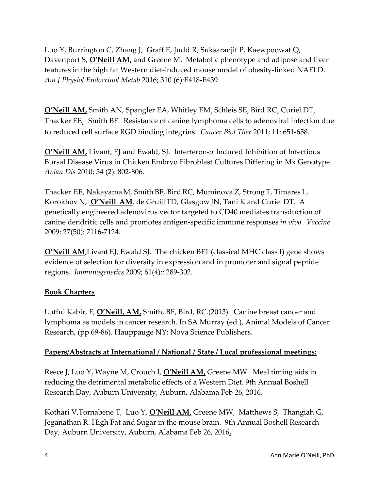Luo Y, Burrington C, Zhang J, Graff E, Judd R, Suksaranjit P, Kaewpoowat Q, Davenport S, **O'Neill AM,** and Greene M. Metabolic phenotype and adipose and liver features in the high fat Western diet-induced mouse model of obesity-linked NAFLD. *Am J Physiol Endocrinol Metab* 2016; 310 (6):E418-E439.

**O'Neill AM,** Smith AN, Spangler EA, Whitley EM, Schleis SE, Bird RC, Curiel DT, Thacker EE, Smith BF. Resistance of canine lymphoma cells to adenoviral infection due to reduced cell surface RGD binding integrins. *Cancer Biol Ther* 2011; 11: 651-658.

**O'Neill AM,** Livant, EJ and Ewald, SJ. Interferon- $\alpha$  Induced Inhibition of Infectious Bursal Disease Virus in Chicken Embryo Fibroblast Cultures Differing in Mx Genotype *Avian Dis* 2010; 54 (2): 802-806.

Thacker EE, Nakayama M, Smith BF, Bird RC, Muminova Z, Strong T, Timares L, Korokhov N, **O'Neill AM**, de Gruijl TD, Glasgow JN, Tani K and Curiel DT. A genetically engineered adenovirus vector targeted to CD40 mediates transduction of canine dendritic cells and promotes antigen-specific immune responses *in vivo*. *Vaccine* 2009: 27(50): 7116-7124.

**O'Neill AM, Livant EJ, Ewald SJ. The chicken BF1 (classical MHC class I) gene shows** evidence of selection for diversity in expression and in promoter and signal peptide regions. *Immunogenetics* 2009; 61(4):: 289-302.

## **Book Chapters**

Lutful Kabir, F, **O'Neill, AM,** Smith, BF, Bird, RC.(2013). Canine breast cancer and lymphoma as models in cancer research. In SA Murray (ed.), Animal Models of Cancer Research, (pp 69-86). Hauppauge NY: Nova Science Publishers.

## **Papers/Abstracts at International / National / State / Local professional meetings:**

Reece J, Luo Y, Wayne M, Crouch I, **O'Neill AM,** Greene MW. Meal timing aids in reducing the detrimental metabolic effects of a Western Diet. 9th Annual Boshell Research Day, Auburn University, Auburn, Alabama Feb 26, 2016.

Kothari V,Tornabene T, Luo Y, **O'Neill AM,** Greene MW, Matthews S, Thangiah G, Jeganathan R. High Fat and Sugar in the mouse brain. 9th Annual Boshell Research Day, Auburn University, Auburn, Alabama Feb 26, 2016**.**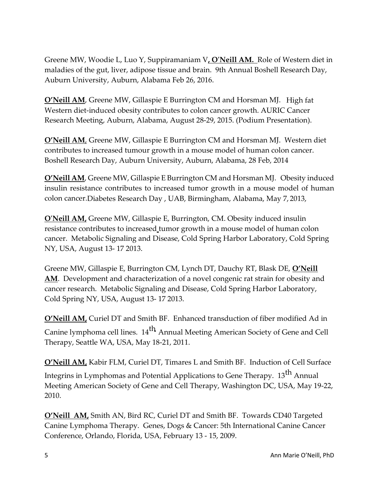Greene MW, Woodie L, Luo Y, Suppiramaniam V**, O'Neill AM.** Role of Western diet in maladies of the gut, liver, adipose tissue and brain. 9th Annual Boshell Research Day, Auburn University, Auburn, Alabama Feb 26, 2016.

**O'Neill AM**, Greene MW, Gillaspie E Burrington CM and Horsman MJ. High fat Western diet-induced obesity contributes to colon cancer growth. AURIC Cancer Research Meeting, Auburn, Alabama, August 28-29, 2015. (Podium Presentation).

**O'Neill AM**, Greene MW, Gillaspie E Burrington CM and Horsman MJ. Western diet contributes to increased tumour growth in a mouse model of human colon cancer. Boshell Research Day, Auburn University, Auburn, Alabama, 28 Feb, 2014

**O'Neill AM**, Greene MW, Gillaspie E Burrington CM and Horsman MJ. Obesity induced insulin resistance contributes to increased tumor growth in a mouse model of human colon cancer.Diabetes Research Day , UAB, Birmingham, Alabama, May 7, 2013,

**O'Neill AM,** Greene MW, Gillaspie E, Burrington, CM. Obesity induced insulin resistance contributes to increased tumor growth in a mouse model of human colon cancer. Metabolic Signaling and Disease, Cold Spring Harbor Laboratory, Cold Spring NY, USA, August 13- 17 2013.

Greene MW, Gillaspie E, Burrington CM, Lynch DT, Dauchy RT, Blask DE, **O'Neill AM**. Development and characterization of a novel congenic rat strain for obesity and cancer research. Metabolic Signaling and Disease, Cold Spring Harbor Laboratory, Cold Spring NY, USA, August 13- 17 2013.

**O'Neill AM,** Curiel DT and Smith BF. Enhanced transduction of fiber modified Ad in Canine lymphoma cell lines.  $14^{th}$  Annual Meeting American Society of Gene and Cell Therapy, Seattle WA, USA, May 18-21, 2011.

**O'Neill AM,** Kabir FLM, Curiel DT, Timares L and Smith BF. Induction of Cell Surface Integrins in Lymphomas and Potential Applications to Gene Therapy. 13<sup>th</sup> Annual Meeting American Society of Gene and Cell Therapy, Washington DC, USA, May 19-22, 2010.

**O'Neill AM,** Smith AN, Bird RC, Curiel DT and Smith BF. Towards CD40 Targeted Canine Lymphoma Therapy. Genes, Dogs & Cancer: 5th International Canine Cancer Conference, Orlando, Florida, USA, February 13 - 15, 2009.